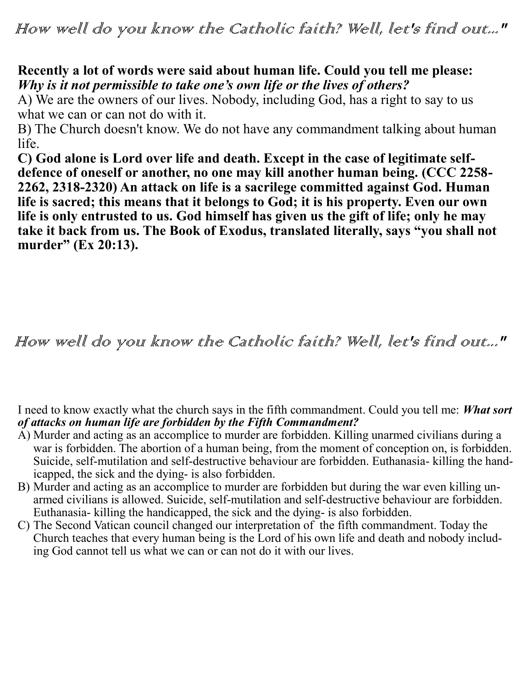### **Recently a lot of words were said about human life. Could you tell me please:**  *Why is it not permissible to take one's own life or the lives of others?*

A) We are the owners of our lives. Nobody, including God, has a right to say to us what we can or can not do with it.

B) The Church doesn't know. We do not have any commandment talking about human life.

**C) God alone is Lord over life and death. Except in the case of legitimate selfdefence of oneself or another, no one may kill another human being. (CCC 2258- 2262, 2318-2320) An attack on life is a sacrilege committed against God. Human life is sacred; this means that it belongs to God; it is his property. Even our own life is only entrusted to us. God himself has given us the gift of life; only he may take it back from us. The Book of Exodus, translated literally, says "you shall not murder" (Ex 20:13).**

# How well do you know the Catholic faith? Well, let's find out..."

I need to know exactly what the church says in the fifth commandment. Could you tell me: *What sort of attacks on human life are forbidden by the Fifth Commandment?*

- A) Murder and acting as an accomplice to murder are forbidden. Killing unarmed civilians during a war is forbidden. The abortion of a human being, from the moment of conception on, is forbidden. Suicide, self-mutilation and self-destructive behaviour are forbidden. Euthanasia- killing the handicapped, the sick and the dying- is also forbidden.
- B) Murder and acting as an accomplice to murder are forbidden but during the war even killing unarmed civilians is allowed. Suicide, self-mutilation and self-destructive behaviour are forbidden. Euthanasia- killing the handicapped, the sick and the dying- is also forbidden.
- C) The Second Vatican council changed our interpretation of the fifth commandment. Today the Church teaches that every human being is the Lord of his own life and death and nobody including God cannot tell us what we can or can not do it with our lives.